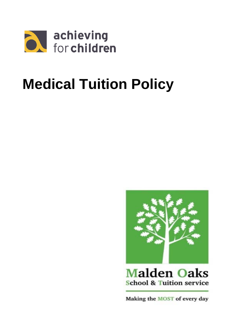

# **Medical Tuition Policy**



**Malden Oaks School & Tuition service** 

Making the MOST of every day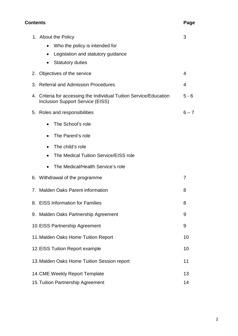## **Contents Page**

| 1. About the Policy                                                                                           | 3       |
|---------------------------------------------------------------------------------------------------------------|---------|
| Who the policy is intended for                                                                                |         |
| Legislation and statutory guidance                                                                            |         |
| <b>Statutory duties</b>                                                                                       |         |
| 2. Objectives of the service                                                                                  | 4       |
| 3. Referral and Admission Procedures                                                                          | 4       |
| 4. Criteria for accessing the Individual Tuition Service/Education<br><b>Inclusion Support Service (EISS)</b> | $5 - 6$ |
| 5. Roles and responsibilities                                                                                 | $6 - 7$ |
| The School's role                                                                                             |         |
| The Parent's role<br>$\bullet$                                                                                |         |
| The child's role                                                                                              |         |
| The Medical Tuition Service/EISS role<br>$\bullet$                                                            |         |
| The Medical/Health Service's role                                                                             |         |
| 6. Withdrawal of the programme                                                                                | 7       |
| 7. Malden Oaks Parent information                                                                             | 8       |
| 8. EISS Information for Families                                                                              | 8       |
| 9. Malden Oaks Partnership Agreement                                                                          | 9       |
| 10. EISS Partnership Agreement                                                                                | 9       |
| 11. Malden Oaks Home Tuition Report                                                                           | 10      |
| 12. EISS Tuition Report example                                                                               | 10      |
| 13. Malden Oaks Home Tuition Session report                                                                   | 11      |
| 14. CME Weekly Report Template                                                                                | 13      |
| 15. Tuition Partnership Agreement                                                                             | 14      |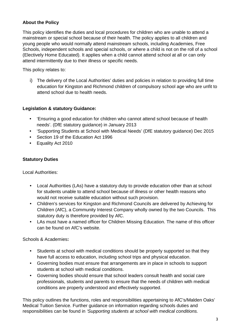## **About the Policy**

This policy identifies the duties and local procedures for children who are unable to attend a mainstream or special school because of their health. The policy applies to all children and young people who would normally attend mainstream schools, including Academies, Free Schools, independent schools and special schools, or where a child is not on the roll of a school (Electively Home Educated). It applies when a child cannot attend school at all or can only attend intermittently due to their illness or specific needs.

This policy relates to:

i) The delivery of the Local Authorities' duties and policies in relation to providing full time education for Kingston and Richmond children of compulsory school age who are unfit to attend school due to health needs.

## **Legislation & statutory Guidance:**

- 'Ensuring a good education for children who cannot attend school because of health needs'. (DfE statutory guidance) in January 2013
- 'Supporting Students at School with Medical Needs' (DfE statutory guidance) Dec 2015
- Section 19 of the Education Act 1996
- Equality Act 2010

## **Statutory Duties**

Local Authorities:

- Local Authorities (LAs) have a statutory duty to provide education other than at school for students unable to attend school because of illness or other health reasons who would not receive suitable education without such provision.
- Children's services for Kingston and Richmond Councils are delivered by Achieving for Children (AfC), a Community Interest Company wholly owned by the two Councils. This statutory duty is therefore provided by AfC.
- LAs must have a named officer for Children Missing Education. The name of this officer can be found on AfC's website.

Schools & Academies**:** 

- Students at school with medical conditions should be properly supported so that they have full access to education, including school trips and physical education.
- Governing bodies must ensure that arrangements are in place in schools to support students at school with medical conditions.
- Governing bodies should ensure that school leaders consult health and social care professionals, students and parents to ensure that the needs of children with medical conditions are properly understood and effectively supported.

This policy outlines the functions, roles and responsibilities appertaining to AfC's/Malden Oaks' Medical Tuition Service. Further guidance on information regarding schools duties and responsibilities can be found in *'Supporting students at school with medical conditions.*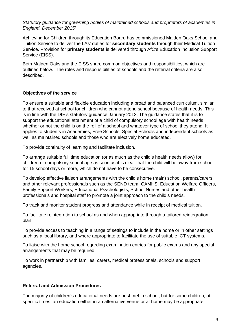*Statutory guidance for governing bodies of maintained schools and proprietors of academies in England, December 2015'*

Achieving for Children through its Education Board has commissioned Malden Oaks School and Tuition Service to deliver the LAs' duties for **secondary students** through their Medical Tuition Service. Provision for **primary students** is delivered through AfC's Education Inclusion Support Service (EISS).

Both Malden Oaks and the EISS share common objectives and responsibilities, which are outlined below. The roles and responsibilities of schools and the referral criteria are also described.

## **Objectives of the service**

To ensure a suitable and flexible education including a broad and balanced curriculum, similar to that received at school for children who cannot attend school because of health needs. This is in line with the DfE's statutory guidance January 2013. The guidance states that it is to support the educational attainment of a child of compulsory school age with health needs whether or not the child is on the roll of a school and whatever type of school they attend. It applies to students in Academies, Free Schools, Special Schools and independent schools as well as maintained schools and those who are electively home educated.

To provide continuity of learning and facilitate inclusion.

To arrange suitable full time education (or as much as the child's health needs allow) for children of compulsory school age as soon as it is clear that the child will be away from school for 15 school days or more, which do not have to be consecutive.

To develop effective liaison arrangements with the child's home (main) school, parents/carers and other relevant professionals such as the SEND team, CAMHS, Education Welfare Officers, Family Support Workers, Educational Psychologists, School Nurses and other health professionals and hospital staff to promote a joint approach to the child's needs.

To track and monitor student progress and attendance while in receipt of medical tuition.

To facilitate reintegration to school as and when appropriate through a tailored reintegration plan.

To provide access to teaching in a range of settings to include in the home or in other settings such as a local library, and where appropriate to facilitate the use of suitable ICT systems.

To liaise with the home school regarding examination entries for public exams and any special arrangements that may be required.

To work in partnership with families, carers, medical professionals, schools and support agencies.

## **Referral and Admission Procedures**

The majority of children's educational needs are best met in school, but for some children, at specific times, an education either in an alternative venue or at home may be appropriate.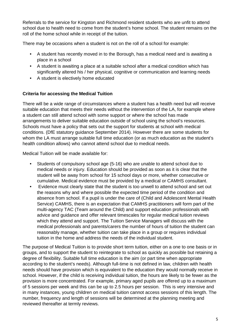Referrals to the service for Kingston and Richmond resident students who are unfit to attend school due to health need to come from the student's home school. The student remains on the roll of the home school while in receipt of the tuition.

There may be occasions when a student is not on the roll of a school for example:

- A student has recently moved in to the Borough, has a medical need and is awaiting a place in a school
- A student is awaiting a place at a suitable school after a medical condition which has significantly altered his / her physical, cognitive or communication and learning needs
- A student is electively home educated

## **Criteria for accessing the Medical Tuition**

There will be a wide range of circumstances where a student has a health need but will receive suitable education that meets their needs without the intervention of the LA, for example where a student can still attend school with some support or where the school has made arrangements to deliver suitable education outside of school using the school's resources. Schools must have a policy that sets out the support for students at school with medical conditions. (DfE statutory guidance September 2014). However there are some students for whom the LA must arrange suitable full time education (or as much education as the student's health condition allows) who cannot attend school due to medical needs.

Medical Tuition will be made available for:

- Students of compulsory school age (5-16) who are unable to attend school due to medical needs or injury. Education should be provided as soon as it is clear that the student will be away from school for 15 school days or more, whether consecutive or cumulative. Medical evidence must be provided by a medical or CAMHS consultant.
- Evidence must clearly state that the student is too unwell to attend school and set out the reasons why and where possible the expected time period of the condition and absence from school. If a pupil is under the care of (Child and Adolescent Mental Health Service) CAMHS, there is an expectation that CAMHS practitioners will form part of the multi-agency TAC (Team around the Child) and support education professionals with advice and guidance and offer relevant timescales for regular medical tuition reviews which they attend and support. The Tuition Service Managers will discuss with the medical professionals and parents/carers the number of hours of tuition the student can reasonably manage, whether tuition can take place in a group or requires individual tuition in the home and address the needs of the individual student.

The purpose of Medical Tuition is to provide short term tuition, either on a one to one basis or in groups, and to support the student to reintegrate to school as quickly as possible but retaining a degree of flexibility. Suitable full time education is the aim (or part time when appropriate according to the student's needs). Although full-time is not defined in law, children with health needs should have provision which is equivalent to the education they would normally receive in school. However, if the child is receiving individual tuition, the hours are likely to be fewer as the provision is more concentrated. For example, primary aged pupils are offered up to a maximum of 5 sessions per week and this can be up to 2.5 hours per session. This is very intensive and in many instances, young children on medical tuition cannot access sessions of this length. The number, frequency and length of sessions will be determined at the planning meeting and reviewed thereafter at termly reviews.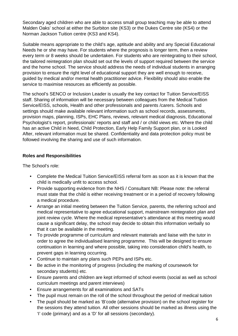Secondary aged children who are able to access small group teaching may be able to attend Malden Oaks' school at either the Surbiton site (KS3) or the Dukes Centre site (KS4) or the Norman Jackson Tuition centre (KS3 and KS4).

Suitable means appropriate to the child's age, aptitude and ability and any Special Educational Needs he or she may have. For students where the prognosis is longer term, then a review every term or 8 weeks should be undertaken. For students who are reintegrating to their school, the tailored reintegration plan should set out the levels of support required between the service and the home school. The service should address the needs of individual students in arranging provision to ensure the right level of educational support they are well enough to receive, guided by medical and/or mental health practitioner advice. Flexibility should also enable the service to maximise resources as efficiently as possible.

The school's SENCO or Inclusion Leader is usually the key contact for Tuition Service/EISS staff. Sharing of information will be necessary between colleagues from the Medical Tuition Service/EISS, schools, Health and other professionals and parents /carers. Schools and settings should make available relevant information such as school records, assessments, provision maps, planning, ISPs, EHC Plans, reviews, relevant medical diagnosis, Educational Psychologist's report, professionals' reports and staff and / or child views etc. Where the child has an active Child in Need, Child Protection, Early Help Family Support plan, or is Looked After, relevant information must be shared. Confidentiality and data protection policy must be followed involving the sharing and use of such information.

## **Roles and Responsibilities**

The School's role:

- Complete the Medical Tuition Service/EISS referral form as soon as it is known that the child is medically unfit to access school.
- Provide supporting evidence from the NHS / Consultant NB: Please note: the referral must state that the child is either receiving treatment or in a period of recovery following a medical procedure.
- Arrange an initial meeting between the Tuition Service, parents, the referring school and medical representative to agree educational support, mainstream reintegration plan and joint review cycle. Where the medical representative's attendance at this meeting would cause a significant delay, the school may decide to obtain this information verbally so that it can be available in the meeting.
- To provide programme of curriculum and relevant materials and liaise with the tutor in order to agree the individualised learning programme. This will be designed to ensure continuation in learning and where possible, taking into consideration child's health, to prevent gaps in learning occurring.
- Continue to maintain any plans such PEPs and ISPs etc.
- Be active in the monitoring of progress (including the marking of coursework for secondary students) etc.
- Ensure parents and children are kept informed of school events (social as well as school curriculum meetings and parent interviews)
- Ensure arrangements for all examinations and SATs
- The pupil must remain on the roll of the school throughout the period of medical tuition
- The pupil should be marked as 'B'code (alternative provision) on the school register for the sessions they attend tuition. All other sessions should be marked as illness using the 'I' code (primary) and as a 'D' for all sessions (secondary).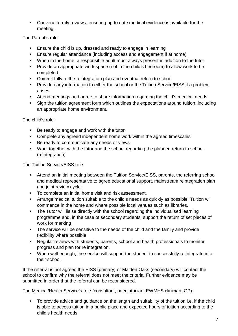• Convene termly reviews, ensuring up to date medical evidence is available for the meeting.

The Parent's role:

- Ensure the child is up, dressed and ready to engage in learning
- Ensure regular attendance (including access and engagement if at home)
- When in the home, a responsible adult must always present in addition to the tutor
- Provide an appropriate work space (not in the child's bedroom) to allow work to be completed.
- Commit fully to the reintegration plan and eventual return to school
- Provide early information to either the school or the Tuition Service/EISS if a problem arises
- Attend meetings and agree to share information regarding the child's medical needs
- Sign the tuition agreement form which outlines the expectations around tuition, including an appropriate home environment.

The child's role:

- Be ready to engage and work with the tutor
- Complete any agreed independent home work within the agreed timescales
- Be ready to communicate any needs or views
- Work together with the tutor and the school regarding the planned return to school (reintegration)

The Tuition Service/EISS role:

- Attend an initial meeting between the Tuition Service/EISS, parents, the referring school and medical representative to agree educational support, mainstream reintegration plan and joint review cycle.
- To complete an initial home visit and risk assessment.
- Arrange medical tuition suitable to the child's needs as quickly as possible. Tuition will commence in the home and where possible local venues such as libraries.
- The Tutor will liaise directly with the school regarding the individualised learning programme and, in the case of secondary students, support the return of set pieces of work for marking
- The service will be sensitive to the needs of the child and the family and provide flexibility where possible
- Regular reviews with students, parents, school and health professionals to monitor progress and plan for re integration.
- When well enough, the service will support the student to successfully re integrate into their school.

If the referral is not agreed the EISS (primary) or Malden Oaks (secondary) will contact the school to confirm why the referral does not meet the criteria. Further evidence may be submitted in order that the referral can be reconsidered.

The Medical/Health Service's role (consultant, paediatrician, EWMHS clinician, GP):

• To provide advice and guidance on the length and suitability of the tuition i.e. if the child is able to access tuition in a public place and expected hours of tuition according to the child's health needs.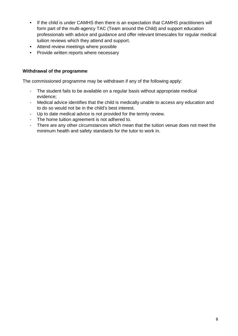- If the child is under CAMHS then there is an expectation that CAMHS practitioners will form part of the multi-agency TAC (Team around the Child) and support education professionals with advice and guidance and offer relevant timescales for regular medical tuition reviews which they attend and support.
- Attend review meetings where possible
- Provide written reports where necessary

## **Withdrawal of the programme**

The commissioned programme may be withdrawn if any of the following apply:

- The student fails to be available on a regular basis without appropriate medical evidence;
- Medical advice identifies that the child is medically unable to access any education and to do so would not be in the child's best interest.
- Up to date medical advice is not provided for the termly review.
- The home tuition agreement is not adhered to.
- There are any other circumstances which mean that the tuition venue does not meet the minimum health and safety standards for the tutor to work in.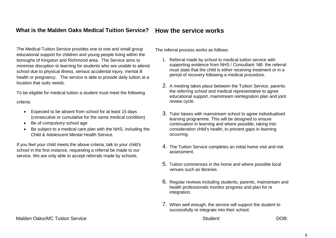#### **What is the Malden Oaks Medical Tuition Service? How the service works**

The Medical Tuition Service provides one to one and small group educational support for children and young people living within the boroughs of Kingston and Richmond area. The Service aims to minimise disruption to learning for students who are unable to attend school due to physical illness, serious accidental injury, mental ill health or pregnancy. The service is able to provide daily tuition at a location that suits needs.

To be eligible for medical tuition a student must meet the following criteria:

- Expected to be absent from school for at least 15 days (consecutive or cumulative for the same medical condition)
- Be of compulsory school age
- Be subject to a medical care plan with the NHS, including the Child & Adolescent Mental Health Service.

If you feel your child meets the above criteria, talk to your child's school in the first instance, requesting a referral be made to our service. We are only able to accept referrals made by schools.

The referral process works as follows:

- 1. Referral made by school to medical tuition service with supporting evidence from NHS / Consultant. NB: the referral must state that the child is either receiving treatment or in a period of recovery following a medical procedure.
- 2. A meeting takes place between the Tuition Service, parents the referring school and medical representative to agree educational support, mainstream reintegration plan and joint review cycle.
- 3. Tutor liaises with mainstream school to agree individualised learning programme. This will be designed to ensure continuation in learning and where possible, taking into consideration child's health, to prevent gaps in learning occurring.
- 4. The Tuition Service completes an initial home visit and risk assessment.
- 5. Tuition commences in the home and where possible local venues such as libraries.
- 6. Regular reviews including students, parents, mainstream and health professionals monitor progress and plan for re integration.
- 7. When well enough, the service will support the student to successfully re integrate into their school.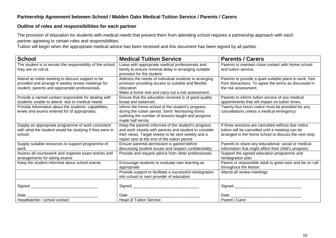## **Partnership Agreement between School / Malden Oaks Medical Tuition Service / Parents / Carers**

#### **Outline of roles and responsibilities for each partner**

The provision of education for students with medical needs that prevent them from attending school requires a partnership approach with each partner agreeing to certain roles and responsibilities.

Tuition will begin when the appropriate medical advice has been received and this document has been signed by all parties.

| <b>School</b>                                                                                        | <b>Medical Tuition Service</b>                                                                            | <b>Parents / Carers</b>                                                       |
|------------------------------------------------------------------------------------------------------|-----------------------------------------------------------------------------------------------------------|-------------------------------------------------------------------------------|
| The student is to remain the responsibility of the school<br>they are on roll at.                    | Liaise with appropriate medical professionals and<br>family to ensure minimal delay in arranging suitable | Parents to maintain close contact with Home school<br>and tuition service.    |
|                                                                                                      | provision for the student.                                                                                |                                                                               |
| Attend an initial meeting to discuss support to be                                                   | Address the needs of individual students in arranging                                                     | Parents to provide a quiet suitable place to work, free                       |
| provided and arrange 6 weekly review meetings for<br>student, parents and appropriate professionals. | provision providing access to suitable and flexible<br>education.                                         | from distractions. To agree the terms as discussed in<br>the risk assessment. |
|                                                                                                      | Make a home visit and carry out a risk assessment.                                                        |                                                                               |
| Provide a named contact responsible for dealing with                                                 | Ensure that the education received is of good quality                                                     | Parents to inform tuition service of any medical                              |
| students unable to attend due to medical needs                                                       | broad and balanced.                                                                                       | appointments that will impact on tuition times.                               |
| Provide information about the students' capabilities,                                                | Inform the home school of the student's progress                                                          | Twenty-four hours notice must be provided for any                             |
| levels and exams entered for (if appropriate).                                                       | during the tuition period. Send Monitoring forms<br>outlining the number of lessons taught and progress   | cancellations unless a medical emergency                                      |
|                                                                                                      | made half termly                                                                                          |                                                                               |
| Supply an appropriate programme of work consistent                                                   | Keep the parents informed of the student's progress                                                       | If three sessions are cancelled without due notice                            |
| with what the student would be studying if they were in                                              | and work closely with parents and student to consider                                                     | tuition will be cancelled until a meeting can be                              |
| school.                                                                                              | their views. Target sheets to be sent weekly and a                                                        | arranged in the home school to discuss the next step.                         |
|                                                                                                      | report sent at the end of the tuition period                                                              |                                                                               |
| Supply suitable resources to support programme of                                                    | Ensure parental permission is gained before                                                               | Parents to share any educational, social or medical                           |
| work                                                                                                 | discussing student issues and respect confidentiality.                                                    | information that might affect their child's progress.                         |
| Assess all coursework and organise exam entries and<br>arrangements for taking exams                 | Provide and request advice from other professionals.                                                      | Support the agreed education programme and<br>reintegration plan              |
| Keep the student informed about school events                                                        | Encourage students to evaluate own learning as                                                            | Parent or responsible adult to greet tutor and be on call                     |
|                                                                                                      | appropriate                                                                                               | throughout the lesson.                                                        |
|                                                                                                      | Provide support to facilitate a successful reintegration                                                  | Attend all review meetings                                                    |
|                                                                                                      | into school or next provider of education                                                                 |                                                                               |
|                                                                                                      |                                                                                                           |                                                                               |
|                                                                                                      |                                                                                                           |                                                                               |
| Date                                                                                                 | Date                                                                                                      | Date $\mathcal$                                                               |
| Headteacher / school contact                                                                         | <b>Head of Tuition Service</b>                                                                            | Parent / Carer                                                                |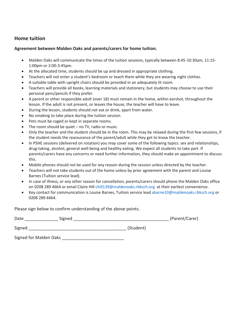## **Home tuition**

#### **Agreement between Malden Oaks and parents/carers for home tuition.**

- Malden Oaks will communicate the times of the tuition sessions, typically between 8:45-10:30am, 11:15- 1:00pm or 2:00-3:45pm.
- At the allocated time, students should be up and dressed in appropriate clothing.
- Teachers will not enter a student's bedroom or teach them while they are wearing night clothes.
- A suitable table with upright chairs should be provided in an adequately lit room.
- Teachers will provide all books, learning materials and stationery, but students may choose to use their personal pens/pencils if they prefer.
- A parent or other responsible adult (over 18) must remain in the home, within earshot, throughout the lesson. If the adult is not present, or leaves the house, the teacher will have to leave.
- During the lesson, students should not eat or drink, apart from water.
- No smoking to take place during the tuition session.
- Pets must be caged or kept in separate rooms.
- The room should be quiet  $-$  no TV, radio or music.
- Only the teacher and the student should be in the room. This may be relaxed during the first few sessions, if the student needs the reassurance of the parent/adult while they get to know the teacher.
- In PSHE sessions (delivered on rotation) you may cover some of the following topics: sex and relationships, drug-taking, alcohol, general well-being and healthy eating. We expect all students to take part. If parents/carers have any concerns or need further information, they should make an appointment to discuss this.
- Mobile phones should not be used for any reason during the session unless directed by the teacher.
- Teachers will not take students out of the home unless by prior agreement with the parent and Louise Barnes (Tuition service lead).
- In case of illness, or any other reason for cancellation, parents/carers should phone the Malden Oaks office on 0208 289 4664 or email Claire Hill [chill139@maldenoaks.rbksch.org](mailto:chill139@maldenoaks.rbksch.org) at their earliest convenience.
- Key contact for communication is Louise Barnes, Tuition service lead [abarne10@maldenoaks.rbksch.org](mailto:abarne10@maldenoaks.rbksch.org) or 0208 289 4664.

Please sign below to confirm understanding of the above points.

| Date<br>Signed         |           | (Parent/Carer) |
|------------------------|-----------|----------------|
| Signed                 | (Student) |                |
| Signed for Malden Oaks |           |                |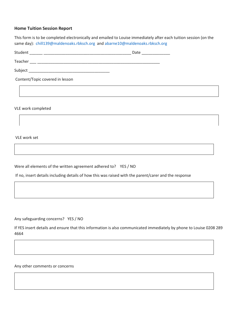#### **Home Tuition Session Report**

This form is to be completed electronically and emailed to Louise immediately after each tuition session (on the same day): [chill139@maldenoaks.rbksch.org](mailto:chill139@maldenoaks.rbksch.org) and [abarne10@maldenoaks.rbksch.org](mailto:abarne10@maldenoaks.rbksch.org)

| Student                         | Date ______________ |  |  |  |
|---------------------------------|---------------------|--|--|--|
|                                 |                     |  |  |  |
|                                 |                     |  |  |  |
| Content/Topic covered in lesson |                     |  |  |  |
|                                 |                     |  |  |  |

VLE work completed

VLE work set

Were all elements of the written agreement adhered to? YES / NO

If no, insert details including details of how this was raised with the parent/carer and the response

Any safeguarding concerns? YES / NO

If YES insert details and ensure that this information is also communicated immediately by phone to Louise 0208 289 4664

Any other comments or concerns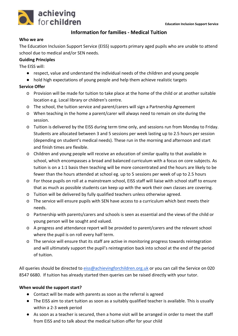

## **Information for families - Medical Tuition**

#### **Who we are**

The Education Inclusion Support Service (EISS) supports primary aged pupils who are unable to attend school due to medical and/or SEN needs.

#### **Guiding Principles**

The EISS will:

- respect, value and understand the individual needs of the children and young people
- hold high expectations of young people and help them achieve realistic targets

## **Service Offer**

- o Provision will be made for tuition to take place at the home of the child or at another suitable location e.g. Local library or children's centre.
- o The school, the tuition service and parent/carers will sign a Partnership Agreement
- o When teaching in the home a parent/carer will always need to remain on site during the session.
- o Tuition is delivered by the EISS during term time only, and sessions run from Monday to Friday. Students are allocated between 3 and 5 sessions per week lasting up to 2.5 hours per session (depending on student's medical needs). These run in the morning and afternoon and start and finish times are flexible.
- o Children and young people will receive an education of similar quality to that available in school, which encompasses a broad and balanced curriculum with a focus on core subjects. As tuition is on a 1:1 basis then teaching will be more concentrated and the hours are likely to be fewer than the hours attended at school eg. up to 5 sessions per week of up to 2.5 hours
- o For those pupils on roll at a mainstream school, EISS staff will liaise with school staff to ensure that as much as possible students can keep up with the work their own classes are covering.
- o Tuition will be delivered by fully qualified teachers unless otherwise agreed.
- o The service will ensure pupils with SEN have access to a curriculum which best meets their needs.
- o Partnership with parents/carers and schools is seen as essential and the views of the child or young person will be sought and valued.
- o A progress and attendance report will be provided to parent/carers and the relevant school where the pupil is on roll every half term.
- o The service will ensure that its staff are active in monitoring progress towards reintegration and will ultimately support the pupil's reintegration back into school at the end of the period of tuition.

All queries should be directed to [eiss@achievingforchildren.org.uk](mailto:eiss@achievingforchildren.org.uk) or you can call the Service on 020 8547 6680. If tuition has already started then queries can be raised directly with your tutor.

## **When would the support start?**

- Contact will be made with parents as soon as the referral is agreed
- The EISS aim to start tuition as soon as a suitably qualified teacher is available. This is usually within a 2-3 week period
- As soon as a teacher is secured, then a home visit will be arranged in order to meet the staff from EISS and to talk about the medical tuition offer for your child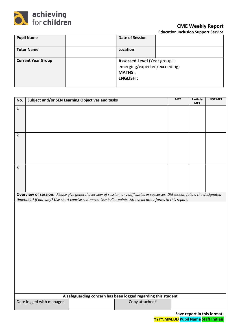

## **CME Weekly Report**

**Education Inclusion Support Service**

| <b>Pupil Name</b>         | <b>Date of Session</b>                                                                                  |  |
|---------------------------|---------------------------------------------------------------------------------------------------------|--|
| <b>Tutor Name</b>         | Location                                                                                                |  |
| <b>Current Year Group</b> | <b>Assessed Level (Year group +</b><br>emerging/expected/exceeding)<br><b>MATHS:</b><br><b>ENGLISH:</b> |  |

| No.            |                          | Subject and/or SEN Learning Objectives and tasks |                                                                                                                                | <b>MET</b> | Partially<br><b>MET</b> | <b>NOT MET</b> |
|----------------|--------------------------|--------------------------------------------------|--------------------------------------------------------------------------------------------------------------------------------|------------|-------------------------|----------------|
| $\mathbf 1$    |                          |                                                  |                                                                                                                                |            |                         |                |
| $\overline{2}$ |                          |                                                  |                                                                                                                                |            |                         |                |
| $\overline{3}$ |                          |                                                  |                                                                                                                                |            |                         |                |
|                |                          |                                                  | Overview of session: Please give general overview of session, any difficulties or successes. Did session follow the designated |            |                         |                |
|                |                          |                                                  | timetable? If not why? Use short concise sentences. Use bullet points. Attach all other forms to this report.                  |            |                         |                |
|                |                          |                                                  |                                                                                                                                |            |                         |                |
|                |                          |                                                  | A safeguarding concern has been logged regarding this student                                                                  |            |                         |                |
|                | Date logged with manager |                                                  | Copy attached?                                                                                                                 |            |                         |                |